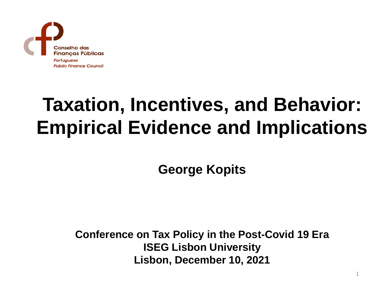

# **Taxation, Incentives, and Behavior: Empirical Evidence and Implications**

**George Kopits**

**Conference on Tax Policy in the Post-Covid 19 Era ISEG Lisbon University Lisbon, December 10, 2021**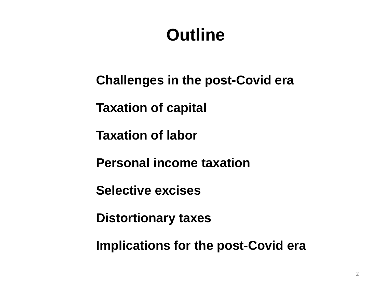# **Outline**

**Challenges in the post-Covid era**

**Taxation of capital**

**Taxation of labor**

**Personal income taxation**

**Selective excises**

**Distortionary taxes**

**Implications for the post-Covid era**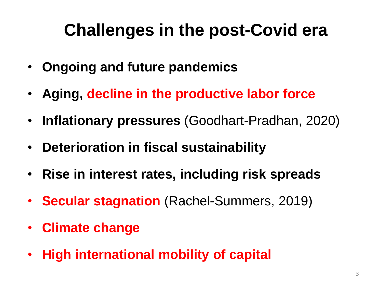# **Challenges in the post-Covid era**

- **Ongoing and future pandemics**
- **Aging, decline in the productive labor force**
- **Inflationary pressures** (Goodhart-Pradhan, 2020)
- **Deterioration in fiscal sustainability**
- **Rise in interest rates, including risk spreads**
- **Secular stagnation** (Rachel-Summers, 2019)
- **Climate change**
- **High international mobility of capital**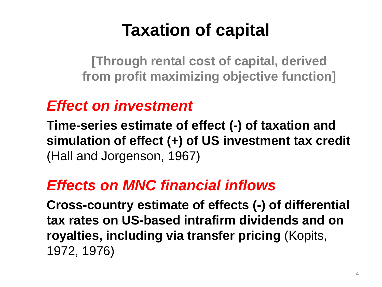# **Taxation of capital**

**[Through rental cost of capital, derived from profit maximizing objective function]**

#### *Effect on investment*

**Time-series estimate of effect (-) of taxation and simulation of effect (+) of US investment tax credit** (Hall and Jorgenson, 1967)

#### *Effects on MNC financial inflows*

**Cross-country estimate of effects (-) of differential tax rates on US-based intrafirm dividends and on royalties, including via transfer pricing** (Kopits, 1972, 1976)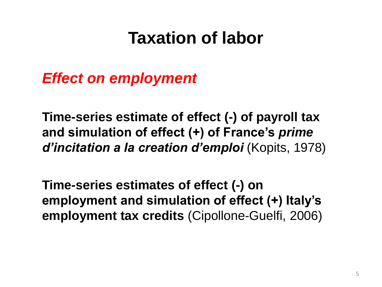### **Taxation of labor**

*Effect on employment*

**Time-series estimate of effect (-) of payroll tax and simulation of effect (+) of France's** *prime d'incitation a la creation d'emploi* (Kopits, 1978)

**Time-series estimates of effect (-) on employment and simulation of effect (+) Italy's employment tax credits** (Cipollone-Guelfi, 2006)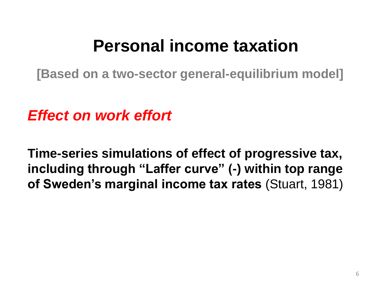### **Personal income taxation**

**[Based on a two-sector general-equilibrium model]**

*Effect on work effort*

**Time-series simulations of effect of progressive tax, including through "Laffer curve" (-) within top range of Sweden's marginal income tax rates** (Stuart, 1981)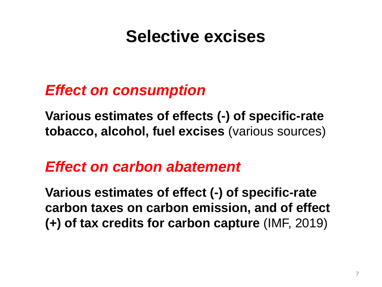# **Selective excises**

#### *Effect on consumption*

**Various estimates of effects (-) of specific-rate tobacco, alcohol, fuel excises** (various sources)

#### *Effect on carbon abatement*

**Various estimates of effect (-) of specific-rate carbon taxes on carbon emission, and of effect (+) of tax credits for carbon capture** (IMF, 2019)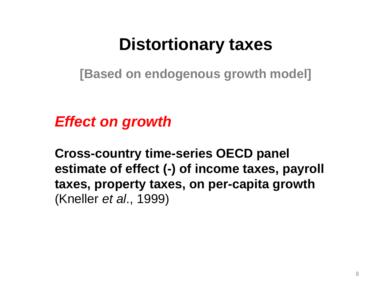### **Distortionary taxes**

**[Based on endogenous growth model]**

*Effect on growth*

**Cross-country time-series OECD panel estimate of effect (-) of income taxes, payroll taxes, property taxes, on per-capita growth**  (Kneller *et al*., 1999)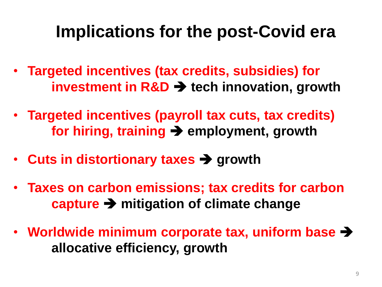### **Implications for the post-Covid era**

- **Targeted incentives (tax credits, subsidies) for investment in R&D** ➔ **tech innovation, growth**
- **Targeted incentives (payroll tax cuts, tax credits) for hiring, training** ➔ **employment, growth**
- **Cuts in distortionary taxes** ➔ **growth**
- **Taxes on carbon emissions; tax credits for carbon capture** ➔ **mitigation of climate change**
- **Worldwide minimum corporate tax, uniform base** ➔ **allocative efficiency, growth**